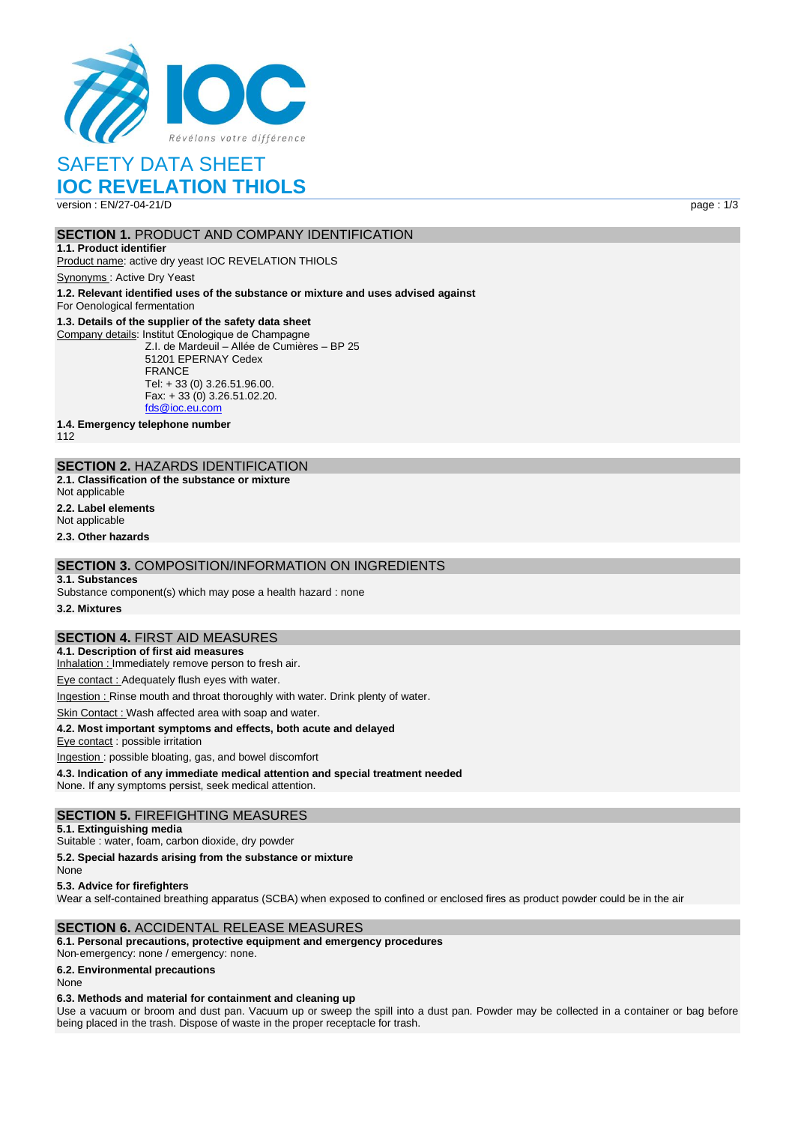

# SAFETY DATA SHEET

## **IOC REVELATION THIOLS**

version : EN/27-04-21/D page : 1/3

## **SECTION 1. PRODUCT AND COMPANY IDENTIFICATION**

**1.1. Product identifier** Product name: active dry yeast IOC REVELATION THIOLS

Synonyms : Active Dry Yeast

**1.2. Relevant identified uses of the substance or mixture and uses advised against** For Oenological fermentation

#### **1.3. Details of the supplier of the safety data sheet**

Company details: Institut Œnologique de Champagne Z.I. de Mardeuil – Allée de Cumières – BP 25 51201 EPERNAY Cedex FRANCE Tel: + 33 (0) 3.26.51.96.00. Fax: + 33 (0) 3.26.51.02.20. [fds@ioc.eu.com](mailto:fds@ioc.eu.com)

**1.4. Emergency telephone number**

112

## **SECTION 2.** HAZARDS IDENTIFICATION

**2.1. Classification of the substance or mixture**

Not applicable

**2.2. Label elements**

Not applicable

**2.3. Other hazards**

## **SECTION 3.** COMPOSITION/INFORMATION ON INGREDIENTS

#### **3.1. Substances**

Substance component(s) which may pose a health hazard : none

**3.2. Mixtures**

## **SECTION 4.** FIRST AID MEASURES

**4.1. Description of first aid measures**

Inhalation : Immediately remove person to fresh air.

Eye contact : Adequately flush eyes with water.

Ingestion : Rinse mouth and throat thoroughly with water. Drink plenty of water.

Skin Contact : Wash affected area with soap and water.

#### **4.2. Most important symptoms and effects, both acute and delayed**

Eye contact : possible irritation

Ingestion : possible bloating, gas, and bowel discomfort

**4.3. Indication of any immediate medical attention and special treatment needed** None. If any symptoms persist, seek medical attention.

### **SECTION 5.** FIREFIGHTING MEASURES

**5.1. Extinguishing media**

Suitable : water, foam, carbon dioxide, dry powder

**5.2. Special hazards arising from the substance or mixture**

None

**5.3. Advice for firefighters**

Wear a self-contained breathing apparatus (SCBA) when exposed to confined or enclosed fires as product powder could be in the air

### **SECTION 6.** ACCIDENTAL RELEASE MEASURES

**6.1. Personal precautions, protective equipment and emergency procedures**

Non‐emergency: none / emergency: none.

**6.2. Environmental precautions**

None

#### **6.3. Methods and material for containment and cleaning up**

Use a vacuum or broom and dust pan. Vacuum up or sweep the spill into a dust pan. Powder may be collected in a container or bag before being placed in the trash. Dispose of waste in the proper receptacle for trash.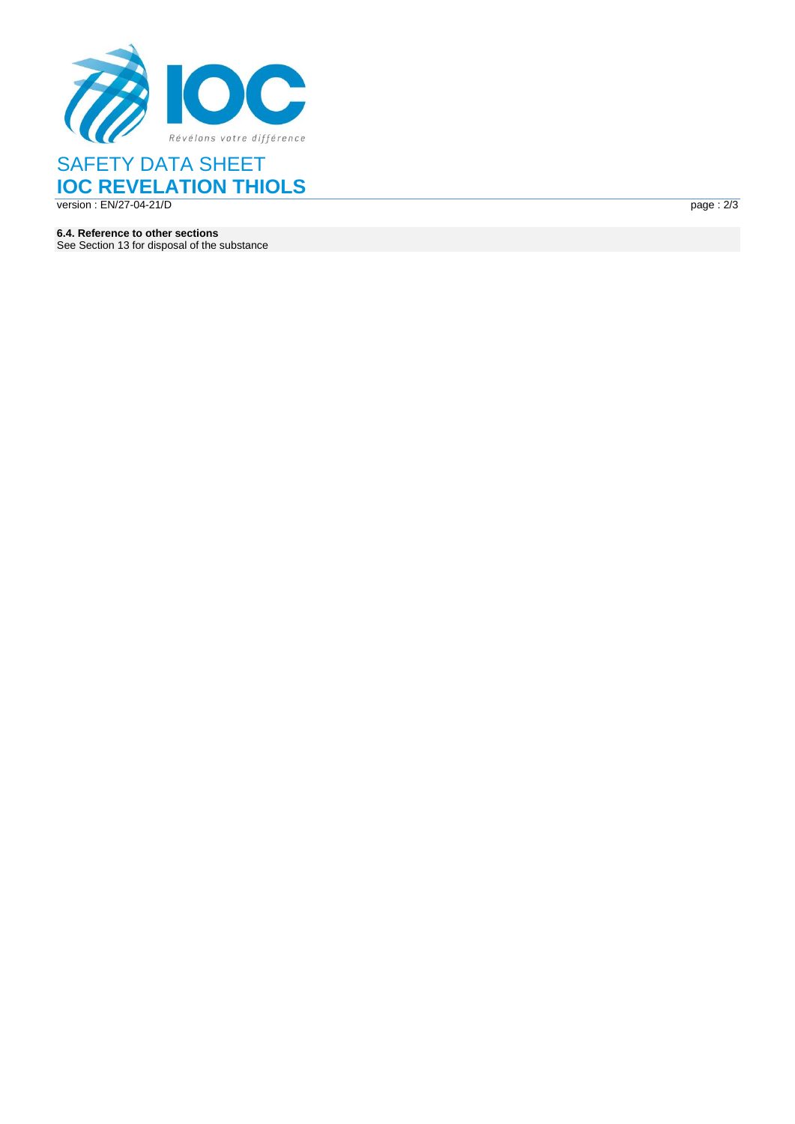

## SAFETY DATA SHEET **IOC REVELATION THIOLS** version : EN/27 -04 -21 / D page :

 $page: 2/3$ 

**6.4. Reference to other sections** See Section 13 for disposal of the substance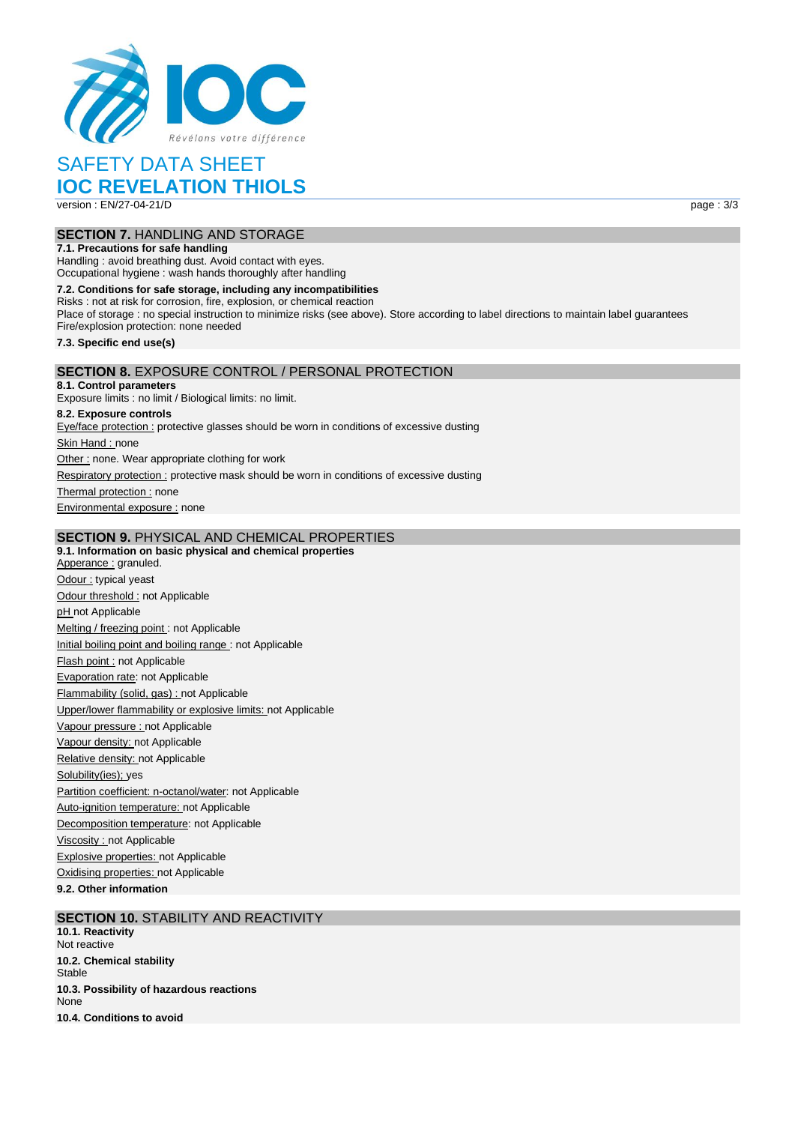

## SAFETY DATA SHEET

## **IOC REVELATION THIOLS**

version : EN/27-04-21/D page : 3/3

## **SECTION 7.** HANDLING AND STORAGE

**7.1. Precautions for safe handling** Handling : avoid breathing dust. Avoid contact with eyes. Occupational hygiene : wash hands thoroughly after handling

**7.2. Conditions for safe storage, including any incompatibilities** Risks : not at risk for corrosion, fire, explosion, or chemical reaction Place of storage : no special instruction to minimize risks (see above). Store according to label directions to maintain label guarantees Fire/explosion protection: none needed **7.3. Specific end use(s) SECTION 8.** EXPOSURE CONTROL / PERSONAL PROTECTION **8.1. Control parameters** Exposure limits : no limit / Biological limits: no limit. **8.2. Exposure controls**

Eye/face protection : protective glasses should be worn in conditions of excessive dusting Skin Hand : none Other : none. Wear appropriate clothing for work Respiratory protection : protective mask should be worn in conditions of excessive dusting Thermal protection : none

Environmental exposure : none

### **SECTION 9.** PHYSICAL AND CHEMICAL PROPERTIES

**9.1. Information on basic physical and chemical properties** Apperance : granuled. Odour : typical yeast Odour threshold : not Applicable pH not Applicable Melting / freezing point : not Applicable Initial boiling point and boiling range : not Applicable Flash point : not Applicable Evaporation rate: not Applicable Flammability (solid, gas) : not Applicable Upper/lower flammability or explosive limits: not Applicable Vapour pressure : not Applicable Vapour density: not Applicable Relative density: not Applicable Solubility(ies); yes Partition coefficient: n-octanol/water: not Applicable Auto-ignition temperature: not Applicable Decomposition temperature: not Applicable Viscosity : not Applicable **Explosive properties: not Applicable** Oxidising properties: not Applicable

**9.2. Other information**

#### **SECTION 10.** STABILITY AND REACTIVITY **10.1. Reactivity** Not reactive **10.2. Chemical stability Stable**

**10.3. Possibility of hazardous reactions** None **10.4. Conditions to avoid**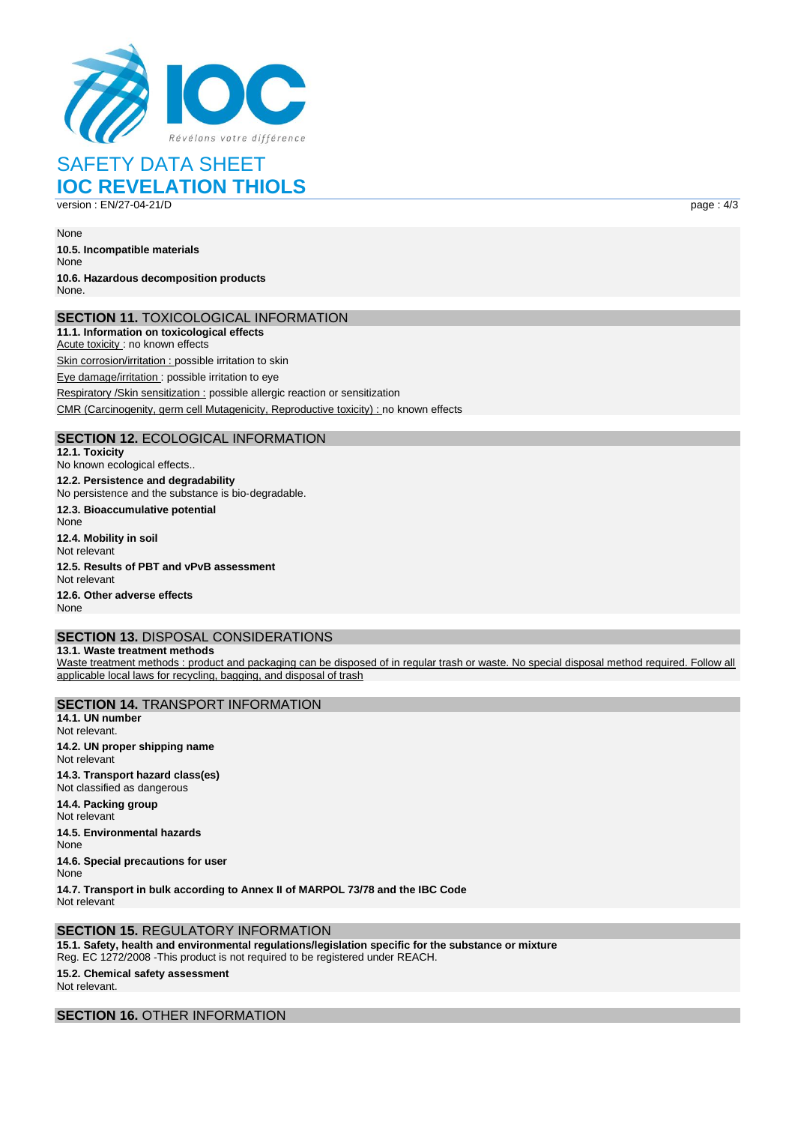

# SAFETY DATA SHEET **IOC REVELATION THIOLS**

version : EN/27-04-21/D page : 4/3

None

**10.5. Incompatible materials** None **10.6. Hazardous decomposition products** None.

### **SECTION 11.** TOXICOLOGICAL INFORMATION

**11.1. Information on toxicological effects** Acute toxicity : no known effects Skin corrosion/irritation : possible irritation to skin Eye damage/irritation : possible irritation to eye Respiratory /Skin sensitization : possible allergic reaction or sensitization CMR (Carcinogenity, germ cell Mutagenicity, Reproductive toxicity) : no known effects

## **SECTION 12.** ECOLOGICAL INFORMATION

**12.1. Toxicity** No known ecological effects.. **12.2. Persistence and degradability** No persistence and the substance is bio‐degradable. **12.3. Bioaccumulative potential** None **12.4. Mobility in soil** Not relevant **12.5. Results of PBT and vPvB assessment** Not relevant **12.6. Other adverse effects** None

## **SECTION 13.** DISPOSAL CONSIDERATIONS

**13.1. Waste treatment methods** Waste treatment methods : product and packaging can be disposed of in regular trash or waste. No special disposal method required. Follow all applicable local laws for recycling, bagging, and disposal of trash

**SECTION 14.** TRANSPORT INFORMATION **14.1. UN number** Not relevant. **14.2. UN proper shipping name** Not relevant **14.3. Transport hazard class(es)** Not classified as dangerous **14.4. Packing group** Not relevant **14.5. Environmental hazards** None **14.6. Special precautions for user** None

**14.7. Transport in bulk according to Annex II of MARPOL 73/78 and the IBC Code** Not relevant

### **SECTION 15.** REGULATORY INFORMATION

**15.1. Safety, health and environmental regulations/legislation specific for the substance or mixture** Reg. EC 1272/2008 ‐This product is not required to be registered under REACH.

## **15.2. Chemical safety assessment**

Not relevant.

## **SECTION 16.** OTHER INFORMATION